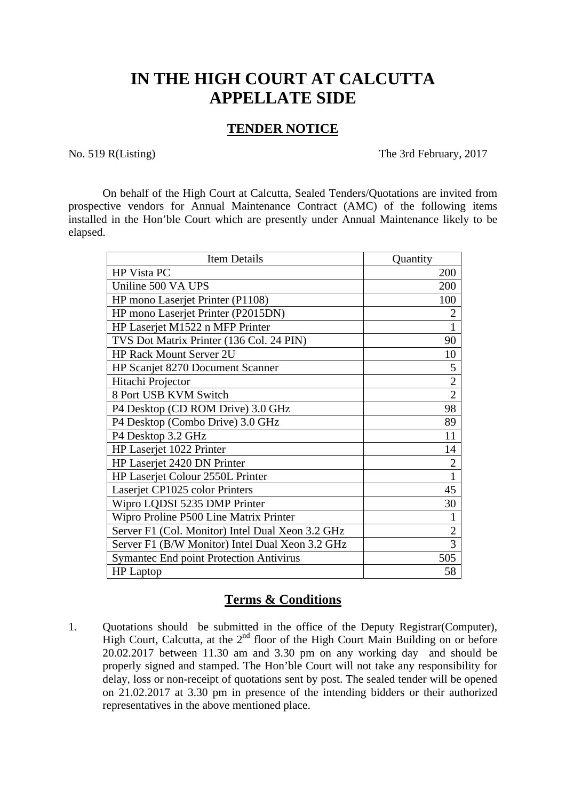## **IN THE HIGH COURT AT CALCUTTA APPELLATE SIDE**

## **TENDER NOTICE**

No. 519 R(Listing) The 3rd February, 2017

 On behalf of the High Court at Calcutta, Sealed Tenders/Quotations are invited from prospective vendors for Annual Maintenance Contract (AMC) of the following items installed in the Hon'ble Court which are presently under Annual Maintenance likely to be elapsed.

| <b>Item Details</b>                              | Quantity       |
|--------------------------------------------------|----------------|
| HP Vista PC                                      | 200            |
| Uniline 500 VA UPS                               | 200            |
| HP mono Laserjet Printer (P1108)                 | 100            |
| HP mono Laserjet Printer (P2015DN)               | $\overline{2}$ |
| HP Laserjet M1522 n MFP Printer                  |                |
| TVS Dot Matrix Printer (136 Col. 24 PIN)         | 90             |
| <b>HP Rack Mount Server 2U</b>                   | 10             |
| <b>HP Scanjet 8270 Document Scanner</b>          | 5              |
| Hitachi Projector                                | $\overline{2}$ |
| 8 Port USB KVM Switch                            | $\overline{2}$ |
| P4 Desktop (CD ROM Drive) 3.0 GHz                | 98             |
| P4 Desktop (Combo Drive) 3.0 GHz                 | 89             |
| P4 Desktop 3.2 GHz                               | 11             |
| HP Laserjet 1022 Printer                         | 14             |
| HP Laserjet 2420 DN Printer                      | $\overline{2}$ |
| HP Laserjet Colour 2550L Printer                 | 1              |
| Laserjet CP1025 color Printers                   | 45             |
| Wipro LQDSI 5235 DMP Printer                     | 30             |
| Wipro Proline P500 Line Matrix Printer           | 1              |
| Server F1 (Col. Monitor) Intel Dual Xeon 3.2 GHz | $\overline{2}$ |
| Server F1 (B/W Monitor) Intel Dual Xeon 3.2 GHz  | 3              |
| <b>Symantec End point Protection Antivirus</b>   | 505            |
| <b>HP</b> Laptop                                 | 58             |

## **Terms & Conditions**

1. Quotations should be submitted in the office of the Deputy Registrar(Computer), High Court, Calcutta, at the  $2<sup>nd</sup>$  floor of the High Court Main Building on or before 20.02.2017 between 11.30 am and 3.30 pm on any working day and should be properly signed and stamped. The Hon'ble Court will not take any responsibility for delay, loss or non-receipt of quotations sent by post. The sealed tender will be opened on 21.02.2017 at 3.30 pm in presence of the intending bidders or their authorized representatives in the above mentioned place.